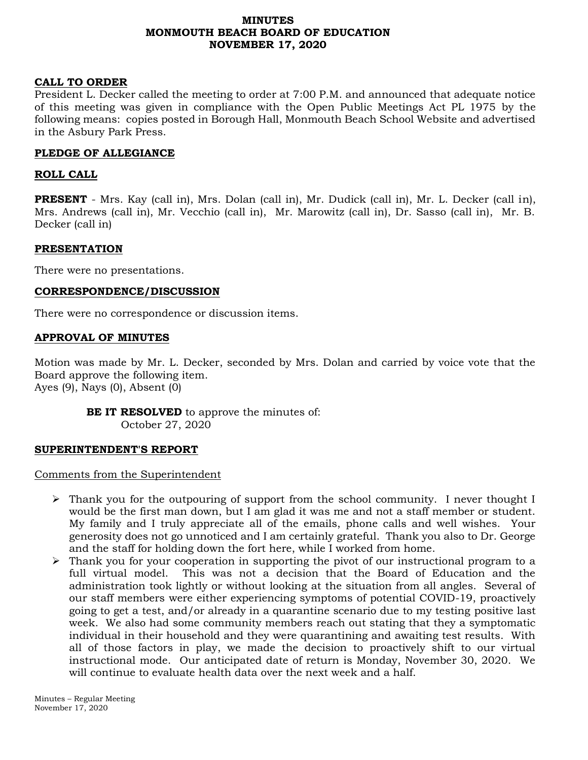# **MINUTES MONMOUTH BEACH BOARD OF EDUCATION NOVEMBER 17, 2020**

### **CALL TO ORDER**

President L. Decker called the meeting to order at 7:00 P.M. and announced that adequate notice of this meeting was given in compliance with the Open Public Meetings Act PL 1975 by the following means: copies posted in Borough Hall, Monmouth Beach School Website and advertised in the Asbury Park Press.

### **PLEDGE OF ALLEGIANCE**

### **ROLL CALL**

**PRESENT** - Mrs. Kay (call in), Mrs. Dolan (call in), Mr. Dudick (call in), Mr. L. Decker (call in), Mrs. Andrews (call in), Mr. Vecchio (call in), Mr. Marowitz (call in), Dr. Sasso (call in), Mr. B. Decker (call in)

### **PRESENTATION**

There were no presentations.

### **CORRESPONDENCE/DISCUSSION**

There were no correspondence or discussion items.

### **APPROVAL OF MINUTES**

Motion was made by Mr. L. Decker, seconded by Mrs. Dolan and carried by voice vote that the Board approve the following item. Ayes (9), Nays (0), Absent (0)

**BE IT RESOLVED** to approve the minutes of: October 27, 2020

### **SUPERINTENDENT'S REPORT**

Comments from the Superintendent

- $\triangleright$  Thank you for the outpouring of support from the school community. I never thought I would be the first man down, but I am glad it was me and not a staff member or student. My family and I truly appreciate all of the emails, phone calls and well wishes. Your generosity does not go unnoticed and I am certainly grateful. Thank you also to Dr. George and the staff for holding down the fort here, while I worked from home.
- $\triangleright$  Thank you for your cooperation in supporting the pivot of our instructional program to a full virtual model. This was not a decision that the Board of Education and the administration took lightly or without looking at the situation from all angles. Several of our staff members were either experiencing symptoms of potential COVID-19, proactively going to get a test, and/or already in a quarantine scenario due to my testing positive last week. We also had some community members reach out stating that they a symptomatic individual in their household and they were quarantining and awaiting test results. With all of those factors in play, we made the decision to proactively shift to our virtual instructional mode. Our anticipated date of return is Monday, November 30, 2020. We will continue to evaluate health data over the next week and a half.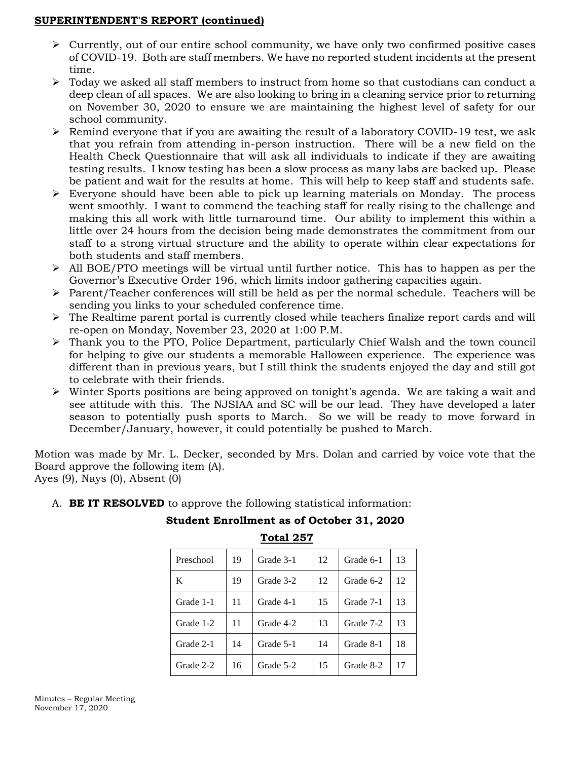# **SUPERINTENDENT'S REPORT (continued)**

- $\triangleright$  Currently, out of our entire school community, we have only two confirmed positive cases of COVID-19. Both are staff members. We have no reported student incidents at the present time.
- $\triangleright$  Today we asked all staff members to instruct from home so that custodians can conduct a deep clean of all spaces. We are also looking to bring in a cleaning service prior to returning on November 30, 2020 to ensure we are maintaining the highest level of safety for our school community.
- ➢ Remind everyone that if you are awaiting the result of a laboratory COVID-19 test, we ask that you refrain from attending in-person instruction. There will be a new field on the Health Check Questionnaire that will ask all individuals to indicate if they are awaiting testing results. I know testing has been a slow process as many labs are backed up. Please be patient and wait for the results at home. This will help to keep staff and students safe.
- ➢ Everyone should have been able to pick up learning materials on Monday. The process went smoothly. I want to commend the teaching staff for really rising to the challenge and making this all work with little turnaround time. Our ability to implement this within a little over 24 hours from the decision being made demonstrates the commitment from our staff to a strong virtual structure and the ability to operate within clear expectations for both students and staff members.
- ➢ All BOE/PTO meetings will be virtual until further notice. This has to happen as per the Governor's Executive Order 196, which limits indoor gathering capacities again.
- $\triangleright$  Parent/Teacher conferences will still be held as per the normal schedule. Teachers will be sending you links to your scheduled conference time.
- $\triangleright$  The Realtime parent portal is currently closed while teachers finalize report cards and will re-open on Monday, November 23, 2020 at 1:00 P.M.
- ➢ Thank you to the PTO, Police Department, particularly Chief Walsh and the town council for helping to give our students a memorable Halloween experience. The experience was different than in previous years, but I still think the students enjoyed the day and still got to celebrate with their friends.
- ➢ Winter Sports positions are being approved on tonight's agenda. We are taking a wait and see attitude with this. The NJSIAA and SC will be our lead. They have developed a later season to potentially push sports to March. So we will be ready to move forward in December/January, however, it could potentially be pushed to March.

Motion was made by Mr. L. Decker, seconded by Mrs. Dolan and carried by voice vote that the Board approve the following item (A).

Ayes (9), Nays (0), Absent (0)

# A. **BE IT RESOLVED** to approve the following statistical information:

# **Student Enrollment as of October 31, 2020**

**Total 257**

| Preschool | 19 | Grade 3-1 | 12 | Grade 6-1 | 13 |
|-----------|----|-----------|----|-----------|----|
| K         | 19 | Grade 3-2 | 12 | Grade 6-2 | 12 |
| Grade 1-1 | 11 | Grade 4-1 | 15 | Grade 7-1 | 13 |
| Grade 1-2 | 11 | Grade 4-2 | 13 | Grade 7-2 | 13 |
| Grade 2-1 | 14 | Grade 5-1 | 14 | Grade 8-1 | 18 |
| Grade 2-2 | 16 | Grade 5-2 | 15 | Grade 8-2 | 17 |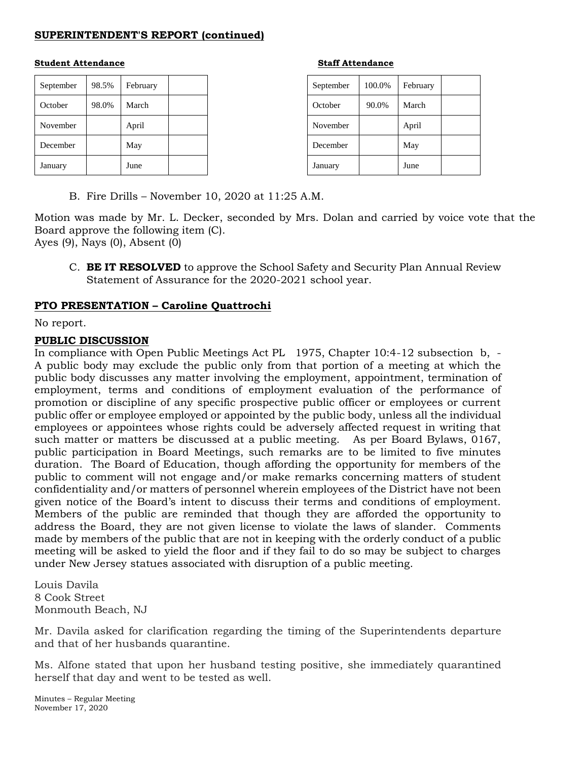# **SUPERINTENDENT'S REPORT (continued)**

### **Student Attendance Staff Attendance**

| September | 98.5% | February |  |
|-----------|-------|----------|--|
| October   | 98.0% | March    |  |
| November  |       | April    |  |
| December  |       | May      |  |
| January   |       | June     |  |

| September | 100.0% | February |  |
|-----------|--------|----------|--|
| October   | 90.0%  | March    |  |
| November  |        | April    |  |
| December  |        | May      |  |
| January   |        | June     |  |

B. Fire Drills – November 10, 2020 at 11:25 A.M.

Motion was made by Mr. L. Decker, seconded by Mrs. Dolan and carried by voice vote that the Board approve the following item (C).

Ayes (9), Nays (0), Absent (0)

C. **BE IT RESOLVED** to approve the School Safety and Security Plan Annual Review Statement of Assurance for the 2020-2021 school year.

# **PTO PRESENTATION – Caroline Quattrochi**

No report.

### **PUBLIC DISCUSSION**

In compliance with Open Public Meetings Act PL 1975, Chapter 10:4-12 subsection b, - A public body may exclude the public only from that portion of a meeting at which the public body discusses any matter involving the employment, appointment, termination of employment, terms and conditions of employment evaluation of the performance of promotion or discipline of any specific prospective public officer or employees or current public offer or employee employed or appointed by the public body, unless all the individual employees or appointees whose rights could be adversely affected request in writing that such matter or matters be discussed at a public meeting. As per Board Bylaws, 0167, public participation in Board Meetings, such remarks are to be limited to five minutes duration. The Board of Education, though affording the opportunity for members of the public to comment will not engage and/or make remarks concerning matters of student confidentiality and/or matters of personnel wherein employees of the District have not been given notice of the Board's intent to discuss their terms and conditions of employment. Members of the public are reminded that though they are afforded the opportunity to address the Board, they are not given license to violate the laws of slander. Comments made by members of the public that are not in keeping with the orderly conduct of a public meeting will be asked to yield the floor and if they fail to do so may be subject to charges under New Jersey statues associated with disruption of a public meeting.

Louis Davila 8 Cook Street Monmouth Beach, NJ

Mr. Davila asked for clarification regarding the timing of the Superintendents departure and that of her husbands quarantine.

Ms. Alfone stated that upon her husband testing positive, she immediately quarantined herself that day and went to be tested as well.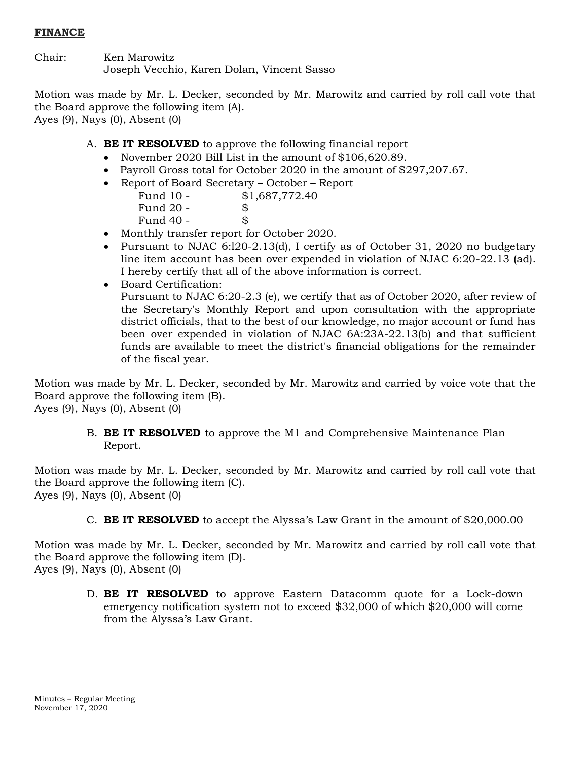# **FINANCE**

Chair: Ken Marowitz Joseph Vecchio, Karen Dolan, Vincent Sasso

Motion was made by Mr. L. Decker, seconded by Mr. Marowitz and carried by roll call vote that the Board approve the following item (A). Ayes (9), Nays (0), Absent (0)

- A. **BE IT RESOLVED** to approve the following financial report
	- November 2020 Bill List in the amount of \$106,620.89.
	- Payroll Gross total for October 2020 in the amount of \$297,207.67.
	- Report of Board Secretary October Report Fund 10 - \$1,687,772.40 Fund  $20 -$  \$ Fund  $40 -$ \$
	- Monthly transfer report for October 2020.
	- Pursuant to NJAC 6:l20-2.13(d), I certify as of October 31, 2020 no budgetary line item account has been over expended in violation of NJAC 6:20-22.13 (ad). I hereby certify that all of the above information is correct.
	- Board Certification:

Pursuant to NJAC 6:20-2.3 (e), we certify that as of October 2020, after review of the Secretary's Monthly Report and upon consultation with the appropriate district officials, that to the best of our knowledge, no major account or fund has been over expended in violation of NJAC 6A:23A-22.13(b) and that sufficient funds are available to meet the district's financial obligations for the remainder of the fiscal year.

Motion was made by Mr. L. Decker, seconded by Mr. Marowitz and carried by voice vote that the Board approve the following item (B). Ayes (9), Nays (0), Absent (0)

> B. **BE IT RESOLVED** to approve the M1 and Comprehensive Maintenance Plan Report.

Motion was made by Mr. L. Decker, seconded by Mr. Marowitz and carried by roll call vote that the Board approve the following item (C). Ayes (9), Nays (0), Absent (0)

C. **BE IT RESOLVED** to accept the Alyssa's Law Grant in the amount of \$20,000.00

Motion was made by Mr. L. Decker, seconded by Mr. Marowitz and carried by roll call vote that the Board approve the following item (D). Ayes (9), Nays (0), Absent (0)

> D. **BE IT RESOLVED** to approve Eastern Datacomm quote for a Lock-down emergency notification system not to exceed \$32,000 of which \$20,000 will come from the Alyssa's Law Grant.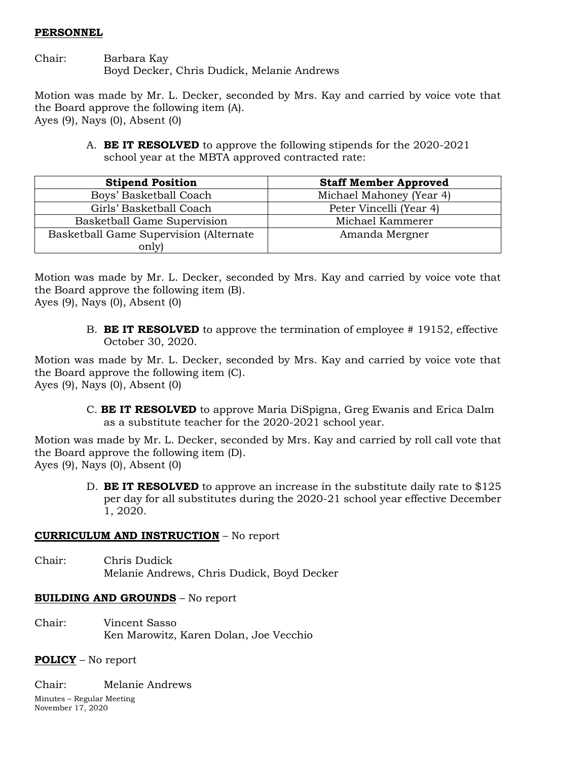# **PERSONNEL**

Chair: Barbara Kay Boyd Decker, Chris Dudick, Melanie Andrews

Motion was made by Mr. L. Decker, seconded by Mrs. Kay and carried by voice vote that the Board approve the following item (A). Ayes (9), Nays (0), Absent (0)

> A. **BE IT RESOLVED** to approve the following stipends for the 2020-2021 school year at the MBTA approved contracted rate:

| <b>Stipend Position</b>                | <b>Staff Member Approved</b> |  |
|----------------------------------------|------------------------------|--|
| Boys' Basketball Coach                 | Michael Mahoney (Year 4)     |  |
| Girls' Basketball Coach                | Peter Vincelli (Year 4)      |  |
| Basketball Game Supervision            | Michael Kammerer             |  |
| Basketball Game Supervision (Alternate | Amanda Mergner               |  |
| only)                                  |                              |  |

Motion was made by Mr. L. Decker, seconded by Mrs. Kay and carried by voice vote that the Board approve the following item (B). Ayes (9), Nays (0), Absent (0)

> B. **BE IT RESOLVED** to approve the termination of employee # 19152, effective October 30, 2020.

Motion was made by Mr. L. Decker, seconded by Mrs. Kay and carried by voice vote that the Board approve the following item (C). Ayes (9), Nays (0), Absent (0)

> C. **BE IT RESOLVED** to approve Maria DiSpigna, Greg Ewanis and Erica Dalm as a substitute teacher for the 2020-2021 school year.

Motion was made by Mr. L. Decker, seconded by Mrs. Kay and carried by roll call vote that the Board approve the following item (D). Ayes (9), Nays (0), Absent (0)

> D. **BE IT RESOLVED** to approve an increase in the substitute daily rate to \$125 per day for all substitutes during the 2020-21 school year effective December 1, 2020.

# **CURRICULUM AND INSTRUCTION** – No report

Chair: Chris Dudick Melanie Andrews, Chris Dudick, Boyd Decker

# **BUILDING AND GROUNDS** – No report

Chair: Vincent Sasso Ken Marowitz, Karen Dolan, Joe Vecchio

# **POLICY** – No report

Chair: Melanie Andrews

Minutes – Regular Meeting November 17, 2020